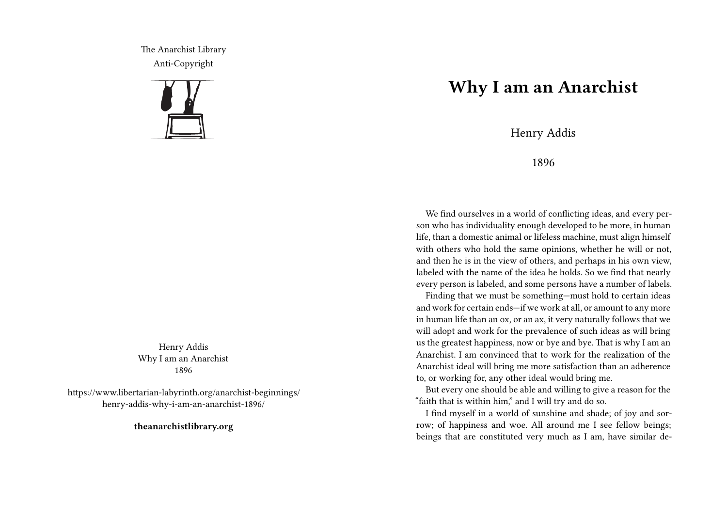The Anarchist Library Anti-Copyright



Henry Addis Why I am an Anarchist 1896

https://www.libertarian-labyrinth.org/anarchist-beginnings/ henry-addis-why-i-am-an-anarchist-1896/

**theanarchistlibrary.org**

## **Why I am an Anarchist**

Henry Addis

1896

We find ourselves in a world of conflicting ideas, and every person who has individuality enough developed to be more, in human life, than a domestic animal or lifeless machine, must align himself with others who hold the same opinions, whether he will or not, and then he is in the view of others, and perhaps in his own view, labeled with the name of the idea he holds. So we find that nearly every person is labeled, and some persons have a number of labels.

Finding that we must be something—must hold to certain ideas and work for certain ends—if we work at all, or amount to any more in human life than an ox, or an ax, it very naturally follows that we will adopt and work for the prevalence of such ideas as will bring us the greatest happiness, now or bye and bye. That is why I am an Anarchist. I am convinced that to work for the realization of the Anarchist ideal will bring me more satisfaction than an adherence to, or working for, any other ideal would bring me.

But every one should be able and willing to give a reason for the "faith that is within him," and I will try and do so.

I find myself in a world of sunshine and shade; of joy and sorrow; of happiness and woe. All around me I see fellow beings; beings that are constituted very much as I am, have similar de